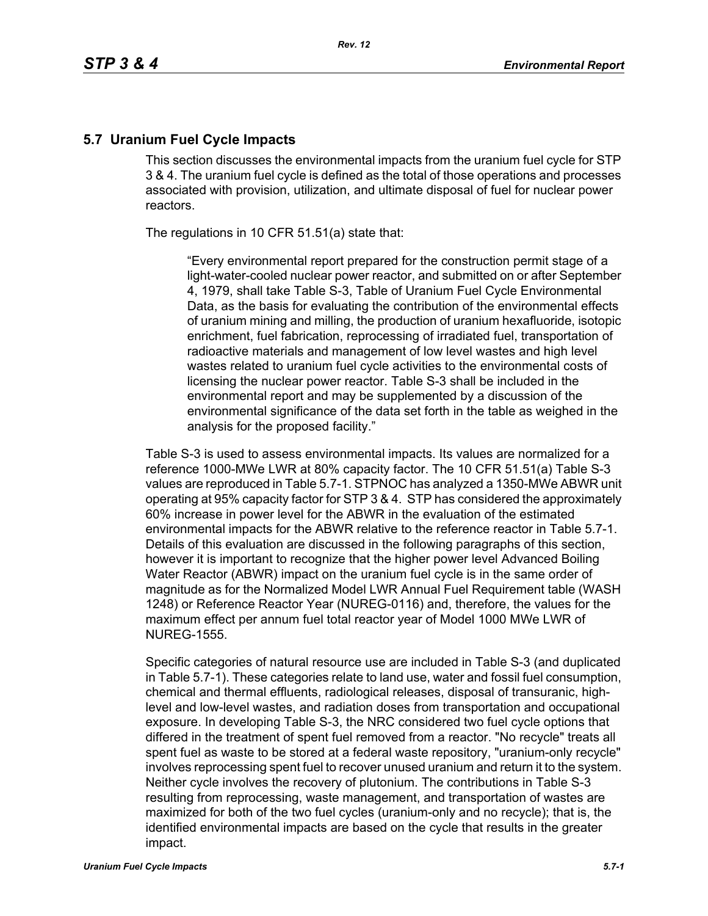#### **5.7 Uranium Fuel Cycle Impacts**

This section discusses the environmental impacts from the uranium fuel cycle for STP 3 & 4. The uranium fuel cycle is defined as the total of those operations and processes associated with provision, utilization, and ultimate disposal of fuel for nuclear power reactors.

The regulations in 10 CFR 51.51(a) state that:

"Every environmental report prepared for the construction permit stage of a light-water-cooled nuclear power reactor, and submitted on or after September 4, 1979, shall take Table S-3, Table of Uranium Fuel Cycle Environmental Data, as the basis for evaluating the contribution of the environmental effects of uranium mining and milling, the production of uranium hexafluoride, isotopic enrichment, fuel fabrication, reprocessing of irradiated fuel, transportation of radioactive materials and management of low level wastes and high level wastes related to uranium fuel cycle activities to the environmental costs of licensing the nuclear power reactor. Table S-3 shall be included in the environmental report and may be supplemented by a discussion of the environmental significance of the data set forth in the table as weighed in the analysis for the proposed facility."

Table S-3 is used to assess environmental impacts. Its values are normalized for a reference 1000-MWe LWR at 80% capacity factor. The 10 CFR 51.51(a) Table S-3 values are reproduced in Table 5.7-1. STPNOC has analyzed a 1350-MWe ABWR unit operating at 95% capacity factor for STP 3 & 4. STP has considered the approximately 60% increase in power level for the ABWR in the evaluation of the estimated environmental impacts for the ABWR relative to the reference reactor in Table 5.7-1. Details of this evaluation are discussed in the following paragraphs of this section, however it is important to recognize that the higher power level Advanced Boiling Water Reactor (ABWR) impact on the uranium fuel cycle is in the same order of magnitude as for the Normalized Model LWR Annual Fuel Requirement table (WASH 1248) or Reference Reactor Year (NUREG-0116) and, therefore, the values for the maximum effect per annum fuel total reactor year of Model 1000 MWe LWR of NUREG-1555.

Specific categories of natural resource use are included in Table S-3 (and duplicated in Table 5.7-1). These categories relate to land use, water and fossil fuel consumption, chemical and thermal effluents, radiological releases, disposal of transuranic, highlevel and low-level wastes, and radiation doses from transportation and occupational exposure. In developing Table S-3, the NRC considered two fuel cycle options that differed in the treatment of spent fuel removed from a reactor. "No recycle" treats all spent fuel as waste to be stored at a federal waste repository, "uranium-only recycle" involves reprocessing spent fuel to recover unused uranium and return it to the system. Neither cycle involves the recovery of plutonium. The contributions in Table S-3 resulting from reprocessing, waste management, and transportation of wastes are maximized for both of the two fuel cycles (uranium-only and no recycle); that is, the identified environmental impacts are based on the cycle that results in the greater impact.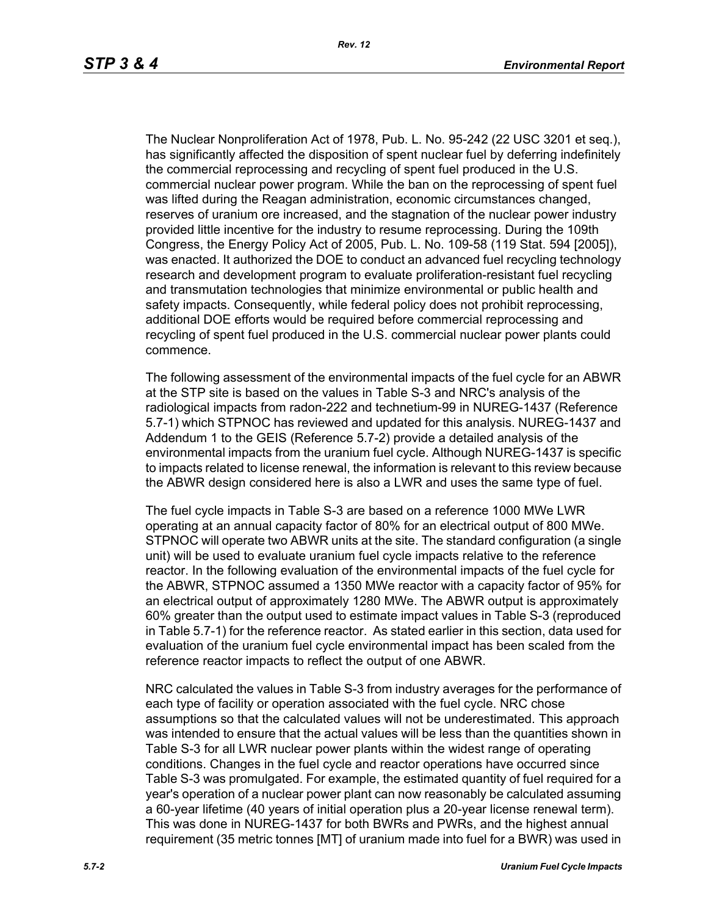The Nuclear Nonproliferation Act of 1978, Pub. L. No. 95-242 (22 USC 3201 et seq.), has significantly affected the disposition of spent nuclear fuel by deferring indefinitely the commercial reprocessing and recycling of spent fuel produced in the U.S. commercial nuclear power program. While the ban on the reprocessing of spent fuel was lifted during the Reagan administration, economic circumstances changed, reserves of uranium ore increased, and the stagnation of the nuclear power industry provided little incentive for the industry to resume reprocessing. During the 109th Congress, the Energy Policy Act of 2005, Pub. L. No. 109-58 (119 Stat. 594 [2005]), was enacted. It authorized the DOE to conduct an advanced fuel recycling technology research and development program to evaluate proliferation-resistant fuel recycling and transmutation technologies that minimize environmental or public health and safety impacts. Consequently, while federal policy does not prohibit reprocessing, additional DOE efforts would be required before commercial reprocessing and recycling of spent fuel produced in the U.S. commercial nuclear power plants could commence.

The following assessment of the environmental impacts of the fuel cycle for an ABWR at the STP site is based on the values in Table S-3 and NRC's analysis of the radiological impacts from radon-222 and technetium-99 in NUREG-1437 (Reference 5.7-1) which STPNOC has reviewed and updated for this analysis. NUREG-1437 and Addendum 1 to the GEIS (Reference 5.7-2) provide a detailed analysis of the environmental impacts from the uranium fuel cycle. Although NUREG-1437 is specific to impacts related to license renewal, the information is relevant to this review because the ABWR design considered here is also a LWR and uses the same type of fuel.

The fuel cycle impacts in Table S-3 are based on a reference 1000 MWe LWR operating at an annual capacity factor of 80% for an electrical output of 800 MWe. STPNOC will operate two ABWR units at the site. The standard configuration (a single unit) will be used to evaluate uranium fuel cycle impacts relative to the reference reactor. In the following evaluation of the environmental impacts of the fuel cycle for the ABWR, STPNOC assumed a 1350 MWe reactor with a capacity factor of 95% for an electrical output of approximately 1280 MWe. The ABWR output is approximately 60% greater than the output used to estimate impact values in Table S-3 (reproduced in Table 5.7-1) for the reference reactor. As stated earlier in this section, data used for evaluation of the uranium fuel cycle environmental impact has been scaled from the reference reactor impacts to reflect the output of one ABWR.

NRC calculated the values in Table S-3 from industry averages for the performance of each type of facility or operation associated with the fuel cycle. NRC chose assumptions so that the calculated values will not be underestimated. This approach was intended to ensure that the actual values will be less than the quantities shown in Table S-3 for all LWR nuclear power plants within the widest range of operating conditions. Changes in the fuel cycle and reactor operations have occurred since Table S-3 was promulgated. For example, the estimated quantity of fuel required for a year's operation of a nuclear power plant can now reasonably be calculated assuming a 60-year lifetime (40 years of initial operation plus a 20-year license renewal term). This was done in NUREG-1437 for both BWRs and PWRs, and the highest annual requirement (35 metric tonnes [MT] of uranium made into fuel for a BWR) was used in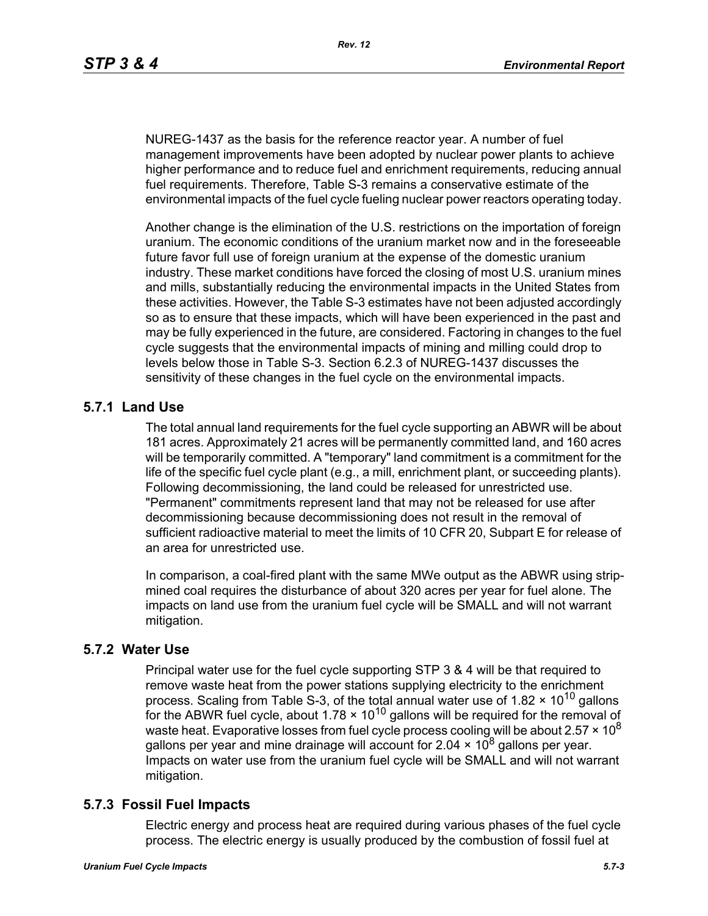NUREG-1437 as the basis for the reference reactor year. A number of fuel management improvements have been adopted by nuclear power plants to achieve higher performance and to reduce fuel and enrichment requirements, reducing annual fuel requirements. Therefore, Table S-3 remains a conservative estimate of the environmental impacts of the fuel cycle fueling nuclear power reactors operating today.

Another change is the elimination of the U.S. restrictions on the importation of foreign uranium. The economic conditions of the uranium market now and in the foreseeable future favor full use of foreign uranium at the expense of the domestic uranium industry. These market conditions have forced the closing of most U.S. uranium mines and mills, substantially reducing the environmental impacts in the United States from these activities. However, the Table S-3 estimates have not been adjusted accordingly so as to ensure that these impacts, which will have been experienced in the past and may be fully experienced in the future, are considered. Factoring in changes to the fuel cycle suggests that the environmental impacts of mining and milling could drop to levels below those in Table S-3. Section 6.2.3 of NUREG-1437 discusses the sensitivity of these changes in the fuel cycle on the environmental impacts.

# **5.7.1 Land Use**

The total annual land requirements for the fuel cycle supporting an ABWR will be about 181 acres. Approximately 21 acres will be permanently committed land, and 160 acres will be temporarily committed. A "temporary" land commitment is a commitment for the life of the specific fuel cycle plant (e.g., a mill, enrichment plant, or succeeding plants). Following decommissioning, the land could be released for unrestricted use. "Permanent" commitments represent land that may not be released for use after decommissioning because decommissioning does not result in the removal of sufficient radioactive material to meet the limits of 10 CFR 20, Subpart E for release of an area for unrestricted use.

In comparison, a coal-fired plant with the same MWe output as the ABWR using stripmined coal requires the disturbance of about 320 acres per year for fuel alone. The impacts on land use from the uranium fuel cycle will be SMALL and will not warrant mitigation.

## **5.7.2 Water Use**

Principal water use for the fuel cycle supporting STP 3 & 4 will be that required to remove waste heat from the power stations supplying electricity to the enrichment process. Scaling from Table S-3, of the total annual water use of 1.82  $\times$  10<sup>10</sup> gallons for the ABWR fuel cycle, about  $1.78 \times 10^{10}$  gallons will be required for the removal of waste heat. Evaporative losses from fuel cycle process cooling will be about 2.57  $\times$  10<sup>8</sup> gallons per year and mine drainage will account for 2.04  $\times$  10<sup>8</sup> gallons per year. Impacts on water use from the uranium fuel cycle will be SMALL and will not warrant mitigation.

# **5.7.3 Fossil Fuel Impacts**

Electric energy and process heat are required during various phases of the fuel cycle process. The electric energy is usually produced by the combustion of fossil fuel at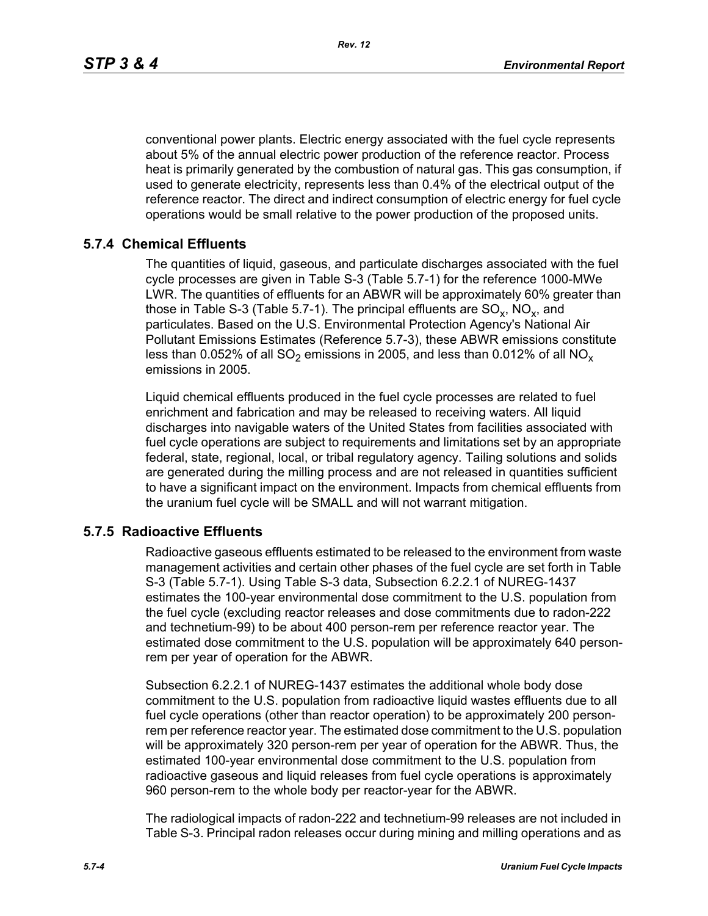*Rev. 12*

conventional power plants. Electric energy associated with the fuel cycle represents about 5% of the annual electric power production of the reference reactor. Process heat is primarily generated by the combustion of natural gas. This gas consumption, if used to generate electricity, represents less than 0.4% of the electrical output of the reference reactor. The direct and indirect consumption of electric energy for fuel cycle operations would be small relative to the power production of the proposed units.

# **5.7.4 Chemical Effluents**

The quantities of liquid, gaseous, and particulate discharges associated with the fuel cycle processes are given in Table S-3 (Table 5.7-1) for the reference 1000-MWe LWR. The quantities of effluents for an ABWR will be approximately 60% greater than those in Table S-3 (Table 5.7-1). The principal effluents are  $SO_x$ ,  $NO_x$ , and particulates. Based on the U.S. Environmental Protection Agency's National Air Pollutant Emissions Estimates (Reference 5.7-3), these ABWR emissions constitute less than 0.052% of all SO<sub>2</sub> emissions in 2005, and less than 0.012% of all NO<sub>x</sub> emissions in 2005.

Liquid chemical effluents produced in the fuel cycle processes are related to fuel enrichment and fabrication and may be released to receiving waters. All liquid discharges into navigable waters of the United States from facilities associated with fuel cycle operations are subject to requirements and limitations set by an appropriate federal, state, regional, local, or tribal regulatory agency. Tailing solutions and solids are generated during the milling process and are not released in quantities sufficient to have a significant impact on the environment. Impacts from chemical effluents from the uranium fuel cycle will be SMALL and will not warrant mitigation.

## **5.7.5 Radioactive Effluents**

Radioactive gaseous effluents estimated to be released to the environment from waste management activities and certain other phases of the fuel cycle are set forth in Table S-3 (Table 5.7-1). Using Table S-3 data, Subsection 6.2.2.1 of NUREG-1437 estimates the 100-year environmental dose commitment to the U.S. population from the fuel cycle (excluding reactor releases and dose commitments due to radon-222 and technetium-99) to be about 400 person-rem per reference reactor year. The estimated dose commitment to the U.S. population will be approximately 640 personrem per year of operation for the ABWR.

Subsection 6.2.2.1 of NUREG-1437 estimates the additional whole body dose commitment to the U.S. population from radioactive liquid wastes effluents due to all fuel cycle operations (other than reactor operation) to be approximately 200 personrem per reference reactor year. The estimated dose commitment to the U.S. population will be approximately 320 person-rem per year of operation for the ABWR. Thus, the estimated 100-year environmental dose commitment to the U.S. population from radioactive gaseous and liquid releases from fuel cycle operations is approximately 960 person-rem to the whole body per reactor-year for the ABWR.

The radiological impacts of radon-222 and technetium-99 releases are not included in Table S-3. Principal radon releases occur during mining and milling operations and as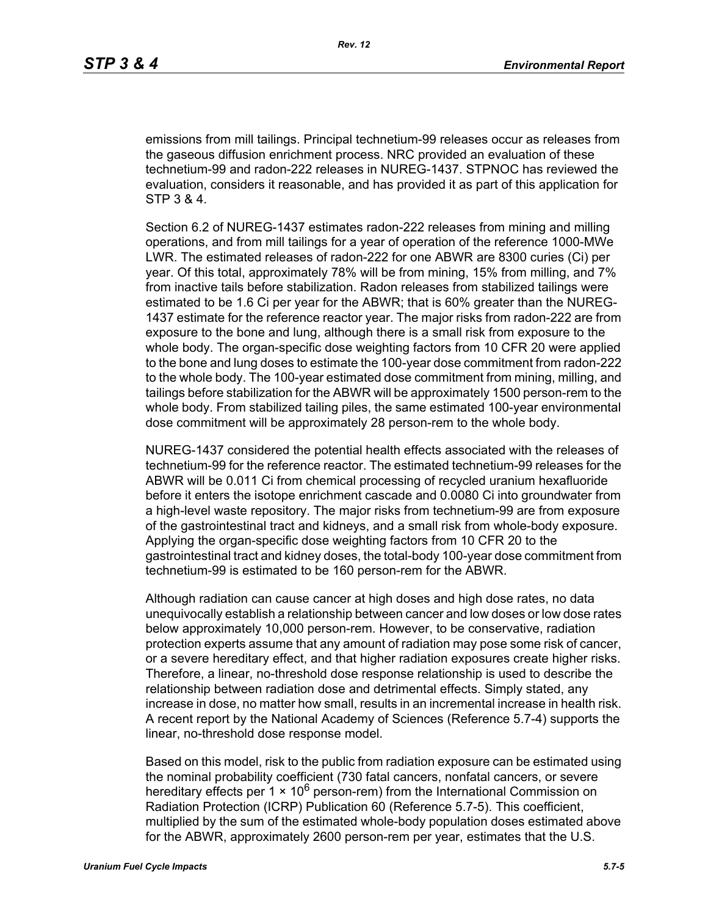emissions from mill tailings. Principal technetium-99 releases occur as releases from the gaseous diffusion enrichment process. NRC provided an evaluation of these technetium-99 and radon-222 releases in NUREG-1437. STPNOC has reviewed the evaluation, considers it reasonable, and has provided it as part of this application for STP 3 & 4.

Section 6.2 of NUREG-1437 estimates radon-222 releases from mining and milling operations, and from mill tailings for a year of operation of the reference 1000-MWe LWR. The estimated releases of radon-222 for one ABWR are 8300 curies (Ci) per year. Of this total, approximately 78% will be from mining, 15% from milling, and 7% from inactive tails before stabilization. Radon releases from stabilized tailings were estimated to be 1.6 Ci per year for the ABWR; that is 60% greater than the NUREG-1437 estimate for the reference reactor year. The major risks from radon-222 are from exposure to the bone and lung, although there is a small risk from exposure to the whole body. The organ-specific dose weighting factors from 10 CFR 20 were applied to the bone and lung doses to estimate the 100-year dose commitment from radon-222 to the whole body. The 100-year estimated dose commitment from mining, milling, and tailings before stabilization for the ABWR will be approximately 1500 person-rem to the whole body. From stabilized tailing piles, the same estimated 100-year environmental dose commitment will be approximately 28 person-rem to the whole body.

NUREG-1437 considered the potential health effects associated with the releases of technetium-99 for the reference reactor. The estimated technetium-99 releases for the ABWR will be 0.011 Ci from chemical processing of recycled uranium hexafluoride before it enters the isotope enrichment cascade and 0.0080 Ci into groundwater from a high-level waste repository. The major risks from technetium-99 are from exposure of the gastrointestinal tract and kidneys, and a small risk from whole-body exposure. Applying the organ-specific dose weighting factors from 10 CFR 20 to the gastrointestinal tract and kidney doses, the total-body 100-year dose commitment from technetium-99 is estimated to be 160 person-rem for the ABWR.

Although radiation can cause cancer at high doses and high dose rates, no data unequivocally establish a relationship between cancer and low doses or low dose rates below approximately 10,000 person-rem. However, to be conservative, radiation protection experts assume that any amount of radiation may pose some risk of cancer, or a severe hereditary effect, and that higher radiation exposures create higher risks. Therefore, a linear, no-threshold dose response relationship is used to describe the relationship between radiation dose and detrimental effects. Simply stated, any increase in dose, no matter how small, results in an incremental increase in health risk. A recent report by the National Academy of Sciences (Reference 5.7-4) supports the linear, no-threshold dose response model.

Based on this model, risk to the public from radiation exposure can be estimated using the nominal probability coefficient (730 fatal cancers, nonfatal cancers, or severe hereditary effects per 1  $\times$  10<sup>6</sup> person-rem) from the International Commission on Radiation Protection (ICRP) Publication 60 (Reference 5.7-5). This coefficient, multiplied by the sum of the estimated whole-body population doses estimated above for the ABWR, approximately 2600 person-rem per year, estimates that the U.S.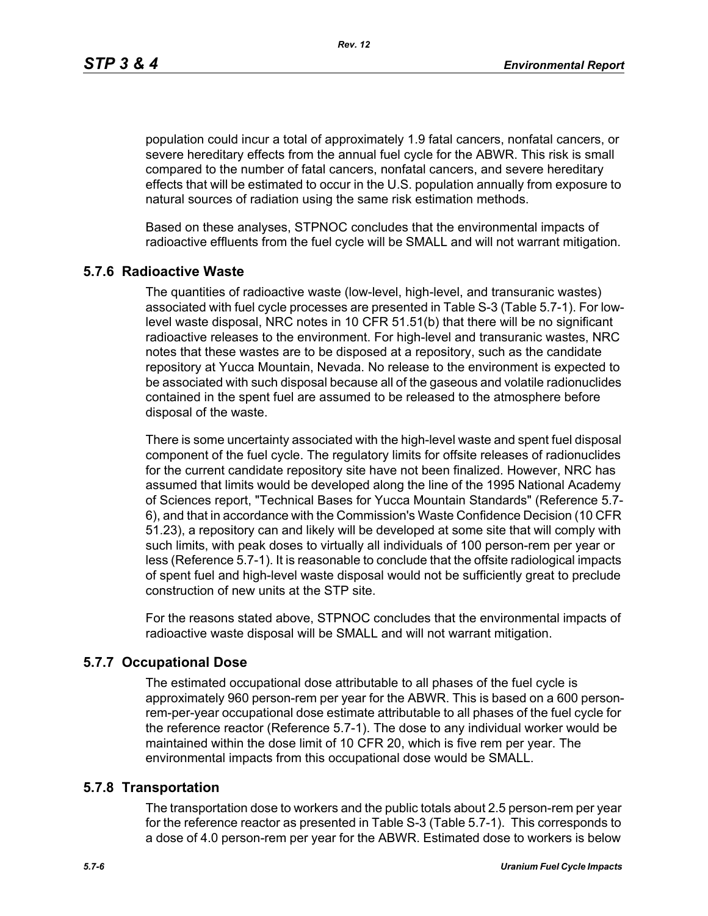*Rev. 12*

population could incur a total of approximately 1.9 fatal cancers, nonfatal cancers, or severe hereditary effects from the annual fuel cycle for the ABWR. This risk is small compared to the number of fatal cancers, nonfatal cancers, and severe hereditary effects that will be estimated to occur in the U.S. population annually from exposure to natural sources of radiation using the same risk estimation methods.

Based on these analyses, STPNOC concludes that the environmental impacts of radioactive effluents from the fuel cycle will be SMALL and will not warrant mitigation.

## **5.7.6 Radioactive Waste**

The quantities of radioactive waste (low-level, high-level, and transuranic wastes) associated with fuel cycle processes are presented in Table S-3 (Table 5.7-1). For lowlevel waste disposal, NRC notes in 10 CFR 51.51(b) that there will be no significant radioactive releases to the environment. For high-level and transuranic wastes, NRC notes that these wastes are to be disposed at a repository, such as the candidate repository at Yucca Mountain, Nevada. No release to the environment is expected to be associated with such disposal because all of the gaseous and volatile radionuclides contained in the spent fuel are assumed to be released to the atmosphere before disposal of the waste.

There is some uncertainty associated with the high-level waste and spent fuel disposal component of the fuel cycle. The regulatory limits for offsite releases of radionuclides for the current candidate repository site have not been finalized. However, NRC has assumed that limits would be developed along the line of the 1995 National Academy of Sciences report, "Technical Bases for Yucca Mountain Standards" (Reference 5.7- 6), and that in accordance with the Commission's Waste Confidence Decision (10 CFR 51.23), a repository can and likely will be developed at some site that will comply with such limits, with peak doses to virtually all individuals of 100 person-rem per year or less (Reference 5.7-1). It is reasonable to conclude that the offsite radiological impacts of spent fuel and high-level waste disposal would not be sufficiently great to preclude construction of new units at the STP site.

For the reasons stated above, STPNOC concludes that the environmental impacts of radioactive waste disposal will be SMALL and will not warrant mitigation.

## **5.7.7 Occupational Dose**

The estimated occupational dose attributable to all phases of the fuel cycle is approximately 960 person-rem per year for the ABWR. This is based on a 600 personrem-per-year occupational dose estimate attributable to all phases of the fuel cycle for the reference reactor (Reference 5.7-1). The dose to any individual worker would be maintained within the dose limit of 10 CFR 20, which is five rem per year. The environmental impacts from this occupational dose would be SMALL.

#### **5.7.8 Transportation**

The transportation dose to workers and the public totals about 2.5 person-rem per year for the reference reactor as presented in Table S-3 (Table 5.7-1). This corresponds to a dose of 4.0 person-rem per year for the ABWR. Estimated dose to workers is below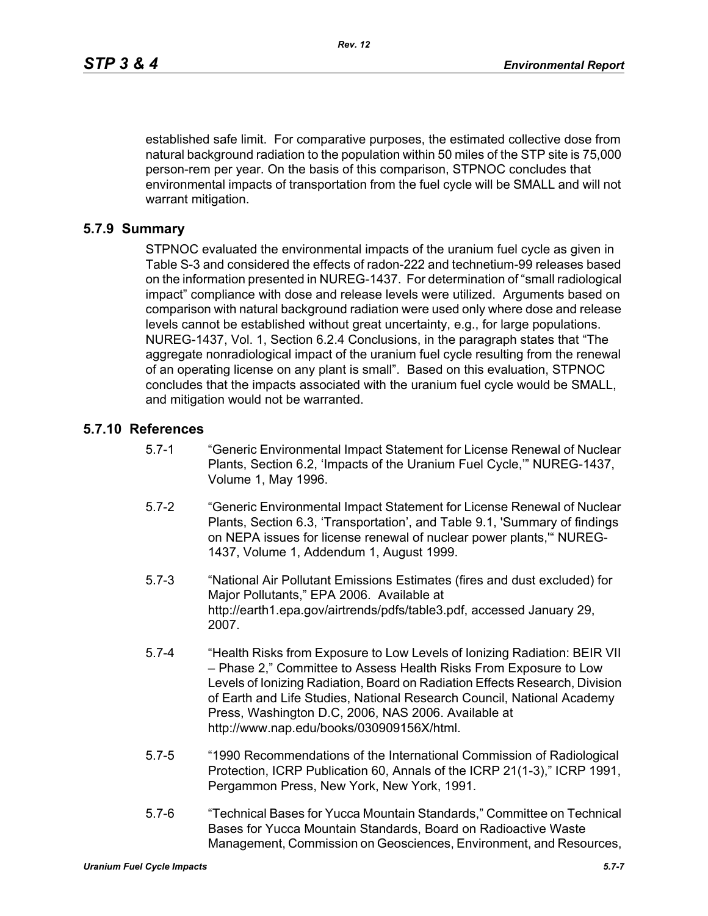established safe limit. For comparative purposes, the estimated collective dose from natural background radiation to the population within 50 miles of the STP site is 75,000 person-rem per year. On the basis of this comparison, STPNOC concludes that environmental impacts of transportation from the fuel cycle will be SMALL and will not warrant mitigation.

#### **5.7.9 Summary**

STPNOC evaluated the environmental impacts of the uranium fuel cycle as given in Table S-3 and considered the effects of radon-222 and technetium-99 releases based on the information presented in NUREG-1437. For determination of "small radiological impact" compliance with dose and release levels were utilized. Arguments based on comparison with natural background radiation were used only where dose and release levels cannot be established without great uncertainty, e.g., for large populations. NUREG-1437, Vol. 1, Section 6.2.4 Conclusions, in the paragraph states that "The aggregate nonradiological impact of the uranium fuel cycle resulting from the renewal of an operating license on any plant is small". Based on this evaluation, STPNOC concludes that the impacts associated with the uranium fuel cycle would be SMALL, and mitigation would not be warranted.

#### **5.7.10 References**

- 5.7-1 "Generic Environmental Impact Statement for License Renewal of Nuclear Plants, Section 6.2, 'Impacts of the Uranium Fuel Cycle,'" NUREG-1437, Volume 1, May 1996.
- 5.7-2 "Generic Environmental Impact Statement for License Renewal of Nuclear Plants, Section 6.3, 'Transportation', and Table 9.1, 'Summary of findings on NEPA issues for license renewal of nuclear power plants,'" NUREG-1437, Volume 1, Addendum 1, August 1999.
- 5.7-3 "National Air Pollutant Emissions Estimates (fires and dust excluded) for Major Pollutants," EPA 2006. Available at http://earth1.epa.gov/airtrends/pdfs/table3.pdf, accessed January 29, 2007.
- 5.7-4 "Health Risks from Exposure to Low Levels of Ionizing Radiation: BEIR VII – Phase 2," Committee to Assess Health Risks From Exposure to Low Levels of Ionizing Radiation, Board on Radiation Effects Research, Division of Earth and Life Studies, National Research Council, National Academy Press, Washington D.C, 2006, NAS 2006. Available at http://www.nap.edu/books/030909156X/html.
- 5.7-5 "1990 Recommendations of the International Commission of Radiological Protection, ICRP Publication 60, Annals of the ICRP 21(1-3)," ICRP 1991, Pergammon Press, New York, New York, 1991.
- 5.7-6 "Technical Bases for Yucca Mountain Standards," Committee on Technical Bases for Yucca Mountain Standards, Board on Radioactive Waste Management, Commission on Geosciences, Environment, and Resources,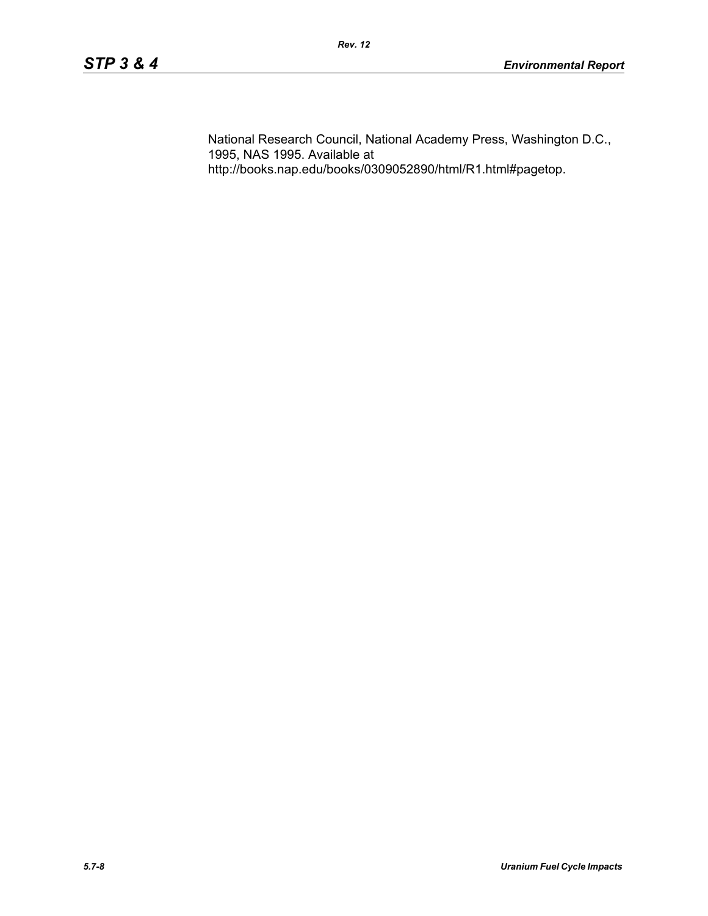National Research Council, National Academy Press, Washington D.C., 1995, NAS 1995. Available at http://books.nap.edu/books/0309052890/html/R1.html#pagetop.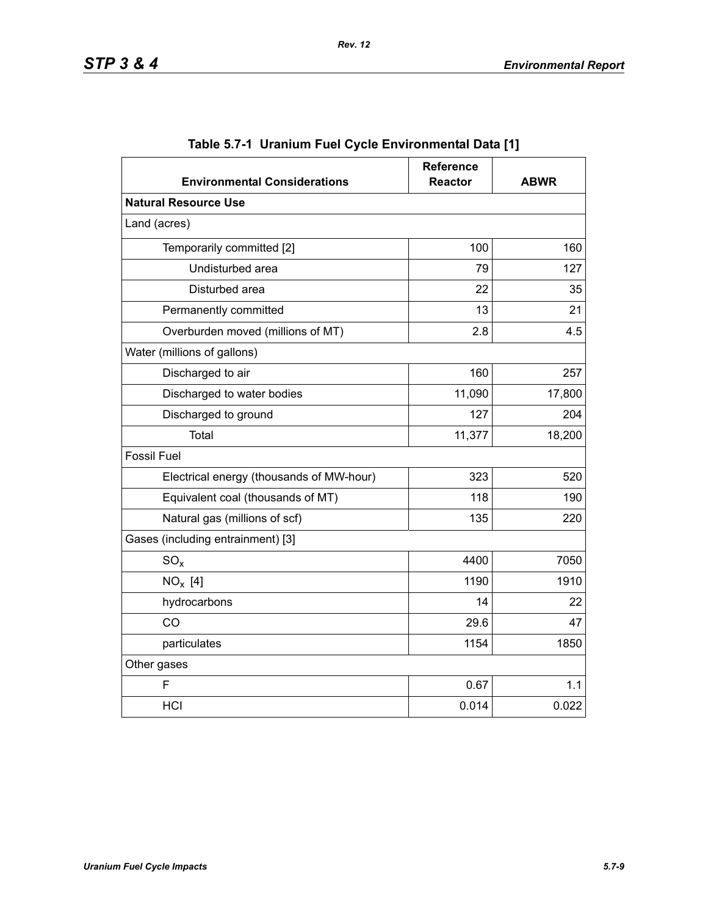| <b>Environmental Considerations</b>      | <b>Reference</b><br><b>Reactor</b> | <b>ABWR</b> |  |  |  |
|------------------------------------------|------------------------------------|-------------|--|--|--|
| <b>Natural Resource Use</b>              |                                    |             |  |  |  |
| Land (acres)                             |                                    |             |  |  |  |
| Temporarily committed [2]                | 100                                | 160         |  |  |  |
| Undisturbed area                         | 79                                 | 127         |  |  |  |
| Disturbed area                           | 22                                 | 35          |  |  |  |
| Permanently committed                    | 13                                 | 21          |  |  |  |
| Overburden moved (millions of MT)        | 2.8                                | 4.5         |  |  |  |
| Water (millions of gallons)              |                                    |             |  |  |  |
| Discharged to air                        | 160                                | 257         |  |  |  |
| Discharged to water bodies               | 11,090                             | 17,800      |  |  |  |
| Discharged to ground                     | 127                                | 204         |  |  |  |
| <b>Total</b>                             | 11,377                             | 18,200      |  |  |  |
| <b>Fossil Fuel</b>                       |                                    |             |  |  |  |
| Electrical energy (thousands of MW-hour) | 323                                | 520         |  |  |  |
| Equivalent coal (thousands of MT)        | 118                                | 190         |  |  |  |
| Natural gas (millions of scf)            | 135                                | 220         |  |  |  |
| Gases (including entrainment) [3]        |                                    |             |  |  |  |
| $SO_{x}$                                 | 4400                               | 7050        |  |  |  |
| $NO_x$ [4]                               | 1190                               | 1910        |  |  |  |
| hydrocarbons                             | 14                                 | 22          |  |  |  |
| CO                                       | 29.6                               | 47          |  |  |  |
| particulates                             | 1154                               | 1850        |  |  |  |
| Other gases                              |                                    |             |  |  |  |
| F                                        | 0.67                               | 1.1         |  |  |  |
| <b>HCI</b>                               | 0.014                              | 0.022       |  |  |  |

|  | Table 5.7-1  Uranium Fuel Cycle Environmental Data [1] |  |
|--|--------------------------------------------------------|--|
|  |                                                        |  |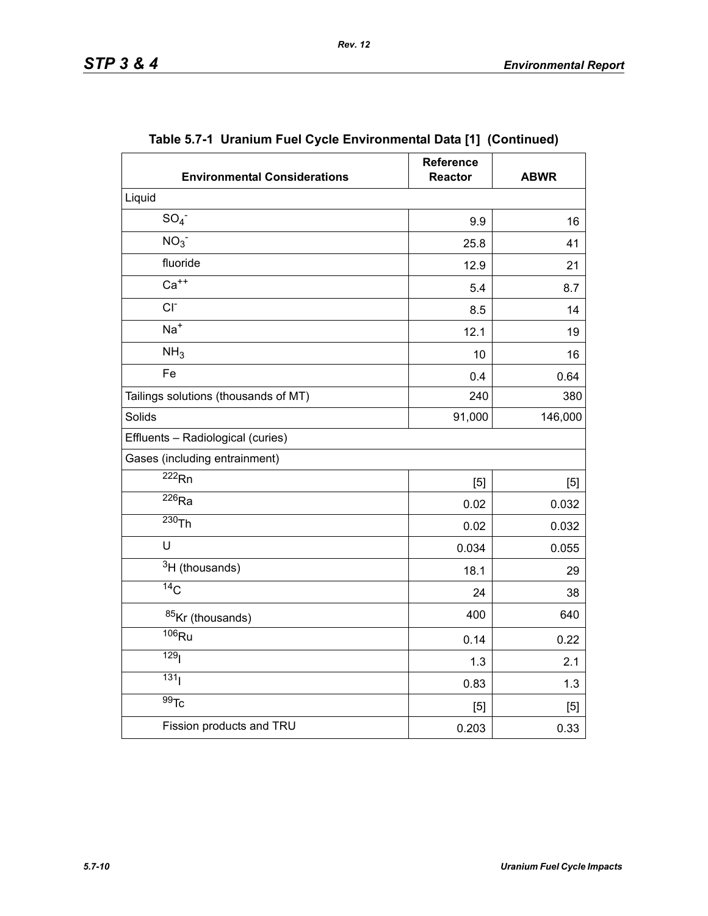| <b>Environmental Considerations</b>  | Reference<br><b>Reactor</b> | <b>ABWR</b> |
|--------------------------------------|-----------------------------|-------------|
| Liquid                               |                             |             |
| SO <sub>4</sub>                      | 9.9                         | 16          |
| NO <sub>3</sub>                      | 25.8                        | 41          |
| fluoride                             | 12.9                        | 21          |
| $Ca++$                               | 5.4                         | 8.7         |
| $CI-$                                | 8.5                         | 14          |
| $Na+$                                | 12.1                        | 19          |
| NH <sub>3</sub>                      | 10                          | 16          |
| Fe                                   | 0.4                         | 0.64        |
| Tailings solutions (thousands of MT) | 240                         | 380         |
| Solids                               | 91,000                      | 146,000     |
| Effluents - Radiological (curies)    |                             |             |
| Gases (including entrainment)        |                             |             |
| $\overline{222}$ <sub>Rn</sub>       | [5]                         | [5]         |
| $\overline{^{226}}$ Ra               | 0.02                        | 0.032       |
| $230$ Th                             | 0.02                        | 0.032       |
| U                                    | 0.034                       | 0.055       |
| $3H$ (thousands)                     | 18.1                        | 29          |
| $\overline{^{14}}C$                  | 24                          | 38          |
| 85Kr (thousands)                     | 400                         | 640         |
| $\overline{^{106}}$ Ru               | 0.14                        | 0.22        |
| 129 <sub>l</sub>                     | 1.3                         | 2.1         |
| 131 <sub>1</sub>                     | 0.83                        | 1.3         |
| $\overline{99}$ Tc                   | [5]                         | [5]         |
| Fission products and TRU             | 0.203                       | 0.33        |